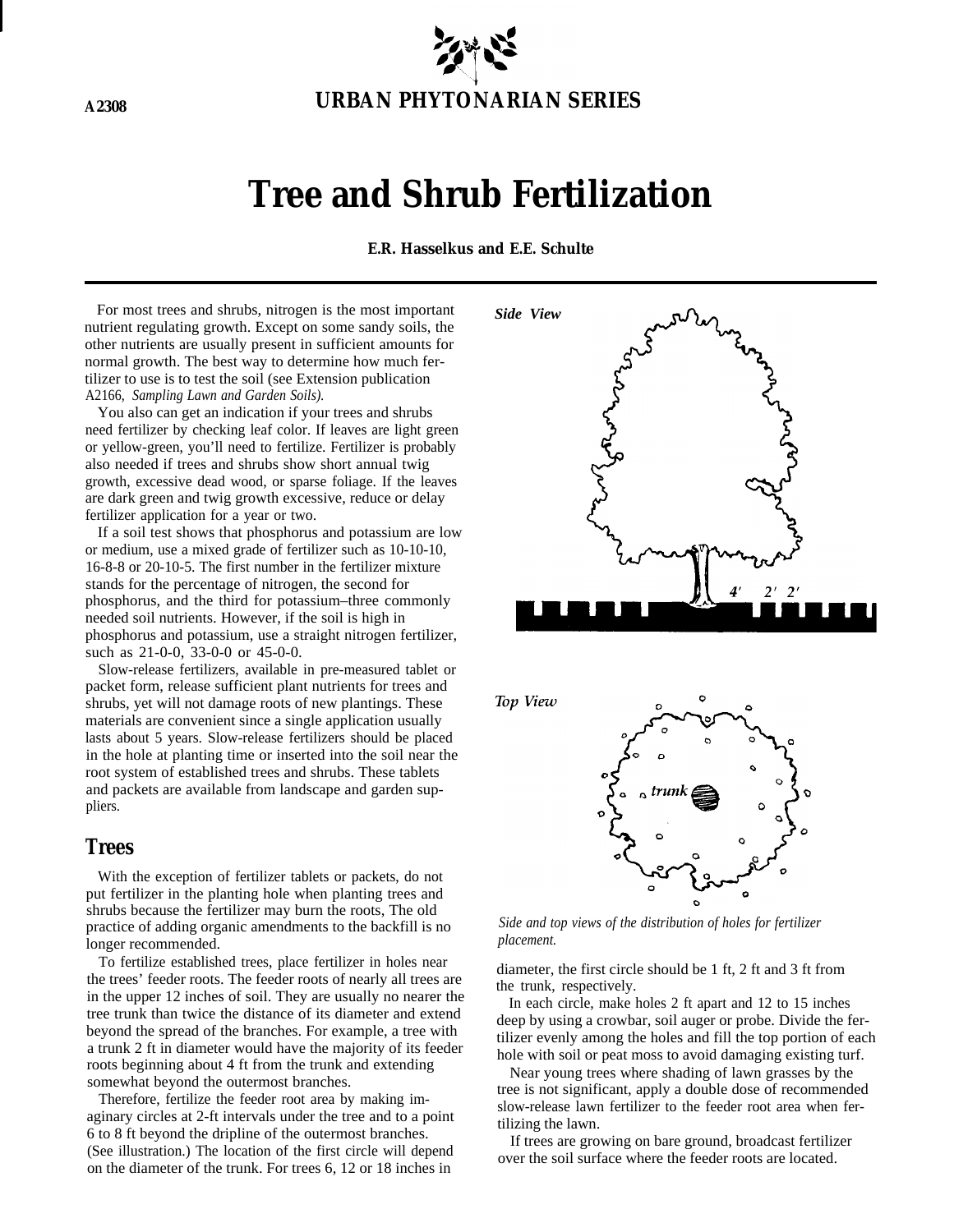

# **Tree and Shrub Fertilization**

**E.R. Hasselkus and E.E. Schulte**

For most trees and shrubs, nitrogen is the most important nutrient regulating growth. Except on some sandy soils, the other nutrients are usually present in sufficient amounts for normal growth. The best way to determine how much fertilizer to use is to test the soil (see Extension publication A2166, *Sampling Lawn and Garden Soils).*

You also can get an indication if your trees and shrubs need fertilizer by checking leaf color. If leaves are light green or yellow-green, you'll need to fertilize. Fertilizer is probably also needed if trees and shrubs show short annual twig growth, excessive dead wood, or sparse foliage. If the leaves are dark green and twig growth excessive, reduce or delay fertilizer application for a year or two.

If a soil test shows that phosphorus and potassium are low or medium, use a mixed grade of fertilizer such as 10-10-10, 16-8-8 or 20-10-5. The first number in the fertilizer mixture stands for the percentage of nitrogen, the second for phosphorus, and the third for potassium–three commonly needed soil nutrients. However, if the soil is high in phosphorus and potassium, use a straight nitrogen fertilizer, such as 21-0-0, 33-0-0 or 45-0-0.

Slow-release fertilizers, available in pre-measured tablet or packet form, release sufficient plant nutrients for trees and shrubs, yet will not damage roots of new plantings. These materials are convenient since a single application usually lasts about 5 years. Slow-release fertilizers should be placed in the hole at planting time or inserted into the soil near the root system of established trees and shrubs. These tablets and packets are available from landscape and garden suppliers.

## **Trees**

With the exception of fertilizer tablets or packets, do not put fertilizer in the planting hole when planting trees and shrubs because the fertilizer may burn the roots, The old practice of adding organic amendments to the backfill is no longer recommended.

To fertilize established trees, place fertilizer in holes near the trees' feeder roots. The feeder roots of nearly all trees are in the upper 12 inches of soil. They are usually no nearer the tree trunk than twice the distance of its diameter and extend beyond the spread of the branches. For example, a tree with a trunk 2 ft in diameter would have the majority of its feeder roots beginning about 4 ft from the trunk and extending somewhat beyond the outermost branches.

Therefore, fertilize the feeder root area by making imaginary circles at 2-ft intervals under the tree and to a point 6 to 8 ft beyond the dripline of the outermost branches. (See illustration.) The location of the first circle will depend on the diameter of the trunk. For trees 6, 12 or 18 inches in



Top View



*Side and top views of the distribution of holes for fertilizer placement.*

diameter, the first circle should be 1 ft, 2 ft and 3 ft from the trunk, respectively.

In each circle, make holes 2 ft apart and 12 to 15 inches deep by using a crowbar, soil auger or probe. Divide the fertilizer evenly among the holes and fill the top portion of each hole with soil or peat moss to avoid damaging existing turf.

Near young trees where shading of lawn grasses by the tree is not significant, apply a double dose of recommended slow-release lawn fertilizer to the feeder root area when fertilizing the lawn.

If trees are growing on bare ground, broadcast fertilizer over the soil surface where the feeder roots are located.